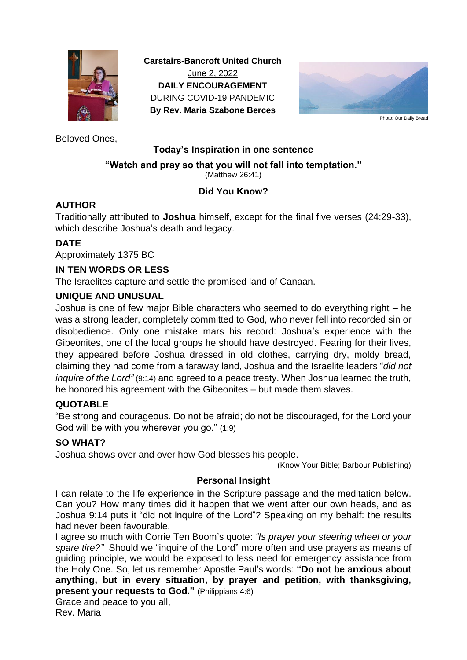

**Carstairs-Bancroft United Church** June 2, 2022 **DAILY ENCOURAGEMENT** DURING COVID-19 PANDEMIC **By Rev. Maria Szabone Berces**



Photo: Our Daily Bread

Beloved Ones,

## **Today's Inspiration in one sentence**

#### **"Watch and pray so that you will not fall into temptation."**

(Matthew 26:41)

# **Did You Know?**

## **AUTHOR**

Traditionally attributed to **Joshua** himself, except for the final five verses (24:29-33), which describe Joshua's death and legacy.

## **DATE**

Approximately 1375 BC

## **IN TEN WORDS OR LESS**

The Israelites capture and settle the promised land of Canaan.

## **UNIQUE AND UNUSUAL**

Joshua is one of few major Bible characters who seemed to do everything right – he was a strong leader, completely committed to God, who never fell into recorded sin or disobedience. Only one mistake mars his record: Joshua's experience with the Gibeonites, one of the local groups he should have destroyed. Fearing for their lives, they appeared before Joshua dressed in old clothes, carrying dry, moldy bread, claiming they had come from a faraway land, Joshua and the Israelite leaders "*did not inquire of the Lord"* (9:14) and agreed to a peace treaty. When Joshua learned the truth, he honored his agreement with the Gibeonites – but made them slaves.

# **QUOTABLE**

"Be strong and courageous. Do not be afraid; do not be discouraged, for the Lord your God will be with you wherever you go." (1:9)

#### **SO WHAT?**

Joshua shows over and over how God blesses his people.

(Know Your Bible; Barbour Publishing)

#### **Personal Insight**

I can relate to the life experience in the Scripture passage and the meditation below. Can you? How many times did it happen that we went after our own heads, and as Joshua 9:14 puts it "did not inquire of the Lord"? Speaking on my behalf: the results had never been favourable.

I agree so much with Corrie Ten Boom's quote: *"Is prayer your steering wheel or your spare tire?"* Should we "inquire of the Lord" more often and use prayers as means of guiding principle, we would be exposed to less need for emergency assistance from the Holy One. So, let us remember Apostle Paul's words: **"Do not be anxious about anything, but in every situation, by prayer and petition, with thanksgiving, present your requests to God."** (Philippians 4:6)

#### Grace and peace to you all, Rev. Maria